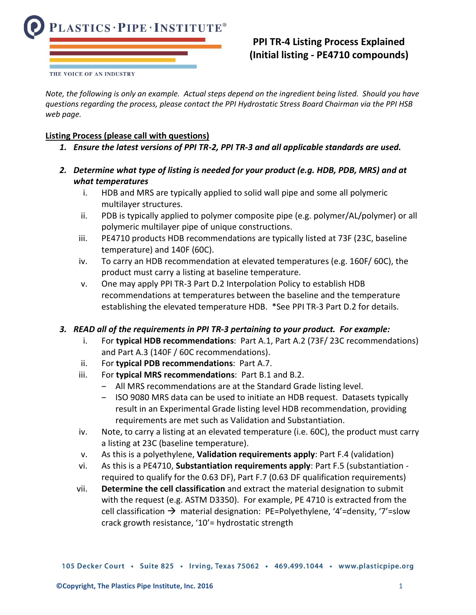

# **PPI TR-4 Listing Process Explained (Initial listing - PE4710 compounds)**

*Note, the following is only an example. Actual steps depend on the ingredient being listed. Should you have questions regarding the process, please contact the PPI Hydrostatic Stress Board Chairman via the PPI HSB web page.*

### **Listing Process (please call with questions)**

- *1. Ensure the latest versions of PPI TR-2, PPI TR-3 and all applicable standards are used.*
- *2. Determine what type of listing is needed for your product (e.g. HDB, PDB, MRS) and at what temperatures*
	- i. HDB and MRS are typically applied to solid wall pipe and some all polymeric multilayer structures.
	- ii. PDB is typically applied to polymer composite pipe (e.g. polymer/AL/polymer) or all polymeric multilayer pipe of unique constructions.
	- iii. PE4710 products HDB recommendations are typically listed at 73F (23C, baseline temperature) and 140F (60C).
	- iv. To carry an HDB recommendation at elevated temperatures (e.g. 160F/ 60C), the product must carry a listing at baseline temperature.
	- v. One may apply PPI TR-3 Part D.2 Interpolation Policy to establish HDB recommendations at temperatures between the baseline and the temperature establishing the elevated temperature HDB. \*See PPI TR-3 Part D.2 for details.

## *3. READ all of the requirements in PPI TR-3 pertaining to your product. For example:*

- i. For **typical HDB recommendations**: Part A.1, Part A.2 (73F/ 23C recommendations) and Part A.3 (140F / 60C recommendations).
- ii. For **typical PDB recommendations**: Part A.7.
- iii. For **typical MRS recommendations**: Part B.1 and B.2.
	- All MRS recommendations are at the Standard Grade listing level.
	- ‒ ISO 9080 MRS data can be used to initiate an HDB request. Datasets typically result in an Experimental Grade listing level HDB recommendation, providing requirements are met such as Validation and Substantiation.
- iv. Note, to carry a listing at an elevated temperature (i.e. 60C), the product must carry a listing at 23C (baseline temperature).
- v. As this is a polyethylene, **Validation requirements apply**: Part F.4 (validation)
- vi. As this is a PE4710, **Substantiation requirements apply**: Part F.5 (substantiation required to qualify for the 0.63 DF), Part F.7 (0.63 DF qualification requirements)
- vii. **Determine the cell classification** and extract the material designation to submit with the request (e.g. ASTM D3350). For example, PE 4710 is extracted from the cell classification  $\rightarrow$  material designation: PE=Polyethylene, '4'=density, '7'=slow crack growth resistance, '10'= hydrostatic strength

105 Decker Court · Suite 825 · Irving, Texas 75062 · 469.499.1044 · www.plasticpipe.org